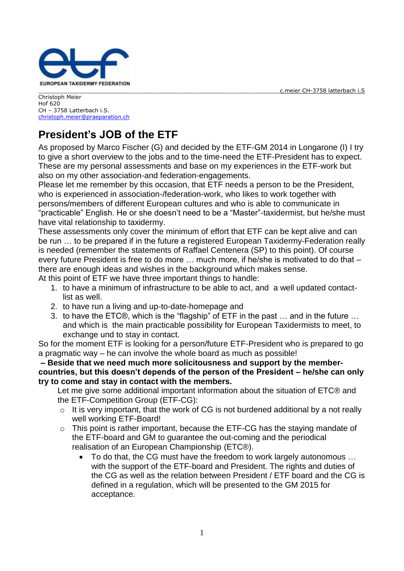

Christoph Meier Hof 620 CH – 3758 Latterbach i.S. [christoph.meier@praeparation.ch](mailto:christoph.meier@bs.ch)

## **President's JOB of the ETF**

As proposed by Marco Fischer (G) and decided by the ETF-GM 2014 in Longarone (I) I try to give a short overview to the jobs and to the time-need the ETF-President has to expect. These are my personal assessments and base on my experiences in the ETF-work but also on my other association-and federation-engagements.

Please let me remember by this occasion, that ETF needs a person to be the President, who is experienced in association-/federation-work, who likes to work together with persons/members of different European cultures and who is able to communicate in "practicable" English. He or she doesn't need to be a "Master"-taxidermist, but he/she must have vital relationship to taxidermy.

These assessments only cover the minimum of effort that ETF can be kept alive and can be run … to be prepared if in the future a registered European Taxidermy-Federation really is needed (remember the statements of Raffael Centenera (SP) to this point). Of course every future President is free to do more … much more, if he/she is motivated to do that – there are enough ideas and wishes in the background which makes sense.

At this point of ETF we have three important things to handle:

- 1. to have a minimum of infrastructure to be able to act, and a well updated contactlist as well.
- 2. to have run a living and up-to-date-homepage and
- 3. to have the ETC®, which is the "flagship" of ETF in the past … and in the future … and which is the main practicable possibility for European Taxidermists to meet, to exchange und to stay in contact.

So for the moment ETF is looking for a person/future ETF-President who is prepared to go a pragmatic way – he can involve the whole board as much as possible!

**– Beside that we need much more solicitousness and support by the membercountries, but this doesn't depends of the person of the President – he/she can only try to come and stay in contact with the members.**

Let me give some additional important information about the situation of ETC® and the ETF-Competition Group (ETF-CG):

- $\circ$  It is very important, that the work of CG is not burdened additional by a not really well working ETF-Board!
- o This point is rather important, because the ETF-CG has the staying mandate of the ETF-board and GM to guarantee the out-coming and the periodical realisation of an European Championship (ETC®).
	- To do that, the CG must have the freedom to work largely autonomous … with the support of the ETF-board and President. The rights and duties of the CG as well as the relation between President / ETF board and the CG is defined in a regulation, which will be presented to the GM 2015 for acceptance.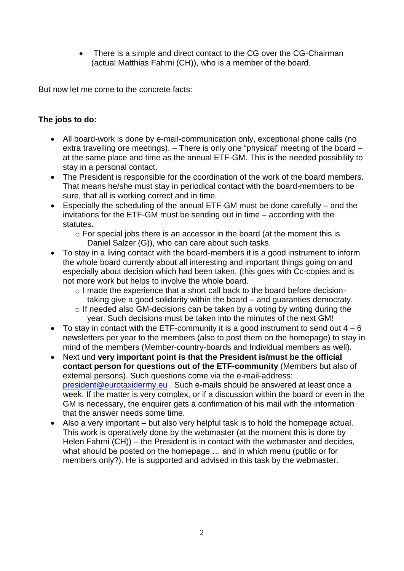There is a simple and direct contact to the CG over the CG-Chairman (actual Matthias Fahrni (CH)), who is a member of the board.

But now let me come to the concrete facts:

## **The jobs to do:**

- All board-work is done by e-mail-communication only, exceptional phone calls (no extra travelling ore meetings). – There is only one "physical" meeting of the board – at the same place and time as the annual ETF-GM. This is the needed possibility to stay in a personal contact.
- The President is responsible for the coordination of the work of the board members. That means he/she must stay in periodical contact with the board-members to be sure, that all is working correct and in time.
- Especially the scheduling of the annual ETF-GM must be done carefully and the invitations for the ETF-GM must be sending out in time – according with the statutes.
	- o For special jobs there is an accessor in the board (at the moment this is Daniel Salzer (G)), who can care about such tasks.
- To stay in a living contact with the board-members it is a good instrument to inform the whole board currently about all interesting and important things going on and especially about decision which had been taken. (this goes with Cc-copies and is not more work but helps to involve the whole board.
	- o I made the experience that a short call back to the board before decisiontaking give a good solidarity within the board – and guaranties democraty.
	- o If needed also GM-decisions can be taken by a voting by writing during the year. Such decisions must be taken into the minutes of the next GM!
- To stay in contact with the ETF-community it is a good instrument to send out  $4-6$ newsletters per year to the members (also to post them on the homepage) to stay in mind of the members (Member-country-boards and Individual members as well).
- Next und **very important point is that the President is/must be the official contact person for questions out of the ETF-community** (Members but also of external persons). Such questions come via the e-mail-address: [president@eurotaxidermy.eu](mailto:president@eurotaxidermy.eu) . Such e-mails should be answered at least once a week. If the matter is very complex, or if a discussion within the board or even in the GM is necessary, the enquirer gets a confirmation of his mail with the information that the answer needs some time.
- Also a very important but also very helpful task is to hold the homepage actual. This work is operatively done by the webmaster (at the moment this is done by Helen Fahrni (CH)) – the President is in contact with the webmaster and decides, what should be posted on the homepage … and in which menu (public or for members only?). He is supported and advised in this task by the webmaster.